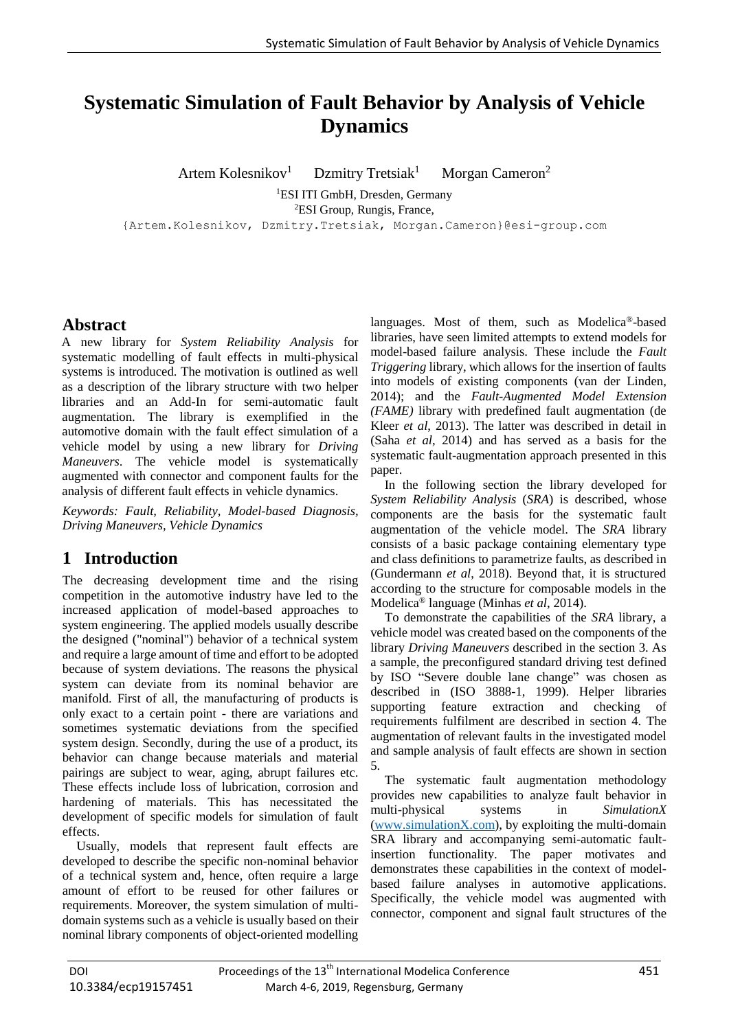# **Systematic Simulation of Fault Behavior by Analysis of Vehicle Dynamics**

Artem Kolesnikov<sup>1</sup> Dzmitry Tretsiak<sup>1</sup> Morgan Cameron<sup>2</sup> <sup>1</sup>ESI ITI GmbH, Dresden, Germany <sup>2</sup>ESI Group, Rungis, France,

{Artem.Kolesnikov, Dzmitry.Tretsiak, Morgan.Cameron}@esi-group.com

# **Abstract**

A new library for *System Reliability Analysis* for systematic modelling of fault effects in multi-physical systems is introduced. The motivation is outlined as well as a description of the library structure with two helper libraries and an Add-In for semi-automatic fault augmentation. The library is exemplified in the automotive domain with the fault effect simulation of a vehicle model by using a new library for *Driving Maneuvers*. The vehicle model is systematically augmented with connector and component faults for the analysis of different fault effects in vehicle dynamics.

*Keywords: Fault, Reliability, Model-based Diagnosis, Driving Maneuvers, Vehicle Dynamics*

# **1 Introduction**

The decreasing development time and the rising competition in the automotive industry have led to the increased application of model-based approaches to system engineering. The applied models usually describe the designed ("nominal") behavior of a technical system and require a large amount of time and effort to be adopted because of system deviations. The reasons the physical system can deviate from its nominal behavior are manifold. First of all, the manufacturing of products is only exact to a certain point - there are variations and sometimes systematic deviations from the specified system design. Secondly, during the use of a product, its behavior can change because materials and material pairings are subject to wear, aging, abrupt failures etc. These effects include loss of lubrication, corrosion and hardening of materials. This has necessitated the development of specific models for simulation of fault effects.

Usually, models that represent fault effects are developed to describe the specific non-nominal behavior of a technical system and, hence, often require a large amount of effort to be reused for other failures or requirements. Moreover, the system simulation of multidomain systems such as a vehicle is usually based on their nominal library components of object-oriented modelling

languages. Most of them, such as Modelica®-based libraries, have seen limited attempts to extend models for model-based failure analysis. These include the *Fault Triggering* library, which allows for the insertion of faults into models of existing components (van der Linden, 2014); and the *Fault-Augmented Model Extension (FAME)* library with predefined fault augmentation (de Kleer *et al*, 2013). The latter was described in detail in (Saha *et al*, 2014) and has served as a basis for the systematic fault-augmentation approach presented in this paper.

In the following section the library developed for *System Reliability Analysis* (*SRA*) is described, whose components are the basis for the systematic fault augmentation of the vehicle model. The *SRA* library consists of a basic package containing elementary type and class definitions to parametrize faults, as described in (Gundermann *et al*, 2018). Beyond that, it is structured according to the structure for composable models in the Modelica® language (Minhas *et al*, 2014).

To demonstrate the capabilities of the *SRA* library, a vehicle model was created based on the components of the library *Driving Maneuvers* described in the section 3. As a sample, the preconfigured standard driving test defined by ISO "Severe double lane change" was chosen as described in (ISO 3888-1, 1999). Helper libraries supporting feature extraction and checking of requirements fulfilment are described in section 4. The augmentation of relevant faults in the investigated model and sample analysis of fault effects are shown in section 5.

The systematic fault augmentation methodology provides new capabilities to analyze fault behavior in multi-physical systems in *SimulationX* (www.simulationX.com), by exploiting the multi-domain SRA library and accompanying semi-automatic faultinsertion functionality. The paper motivates and demonstrates these capabilities in the context of modelbased failure analyses in automotive applications. Specifically, the vehicle model was augmented with connector, component and signal fault structures of the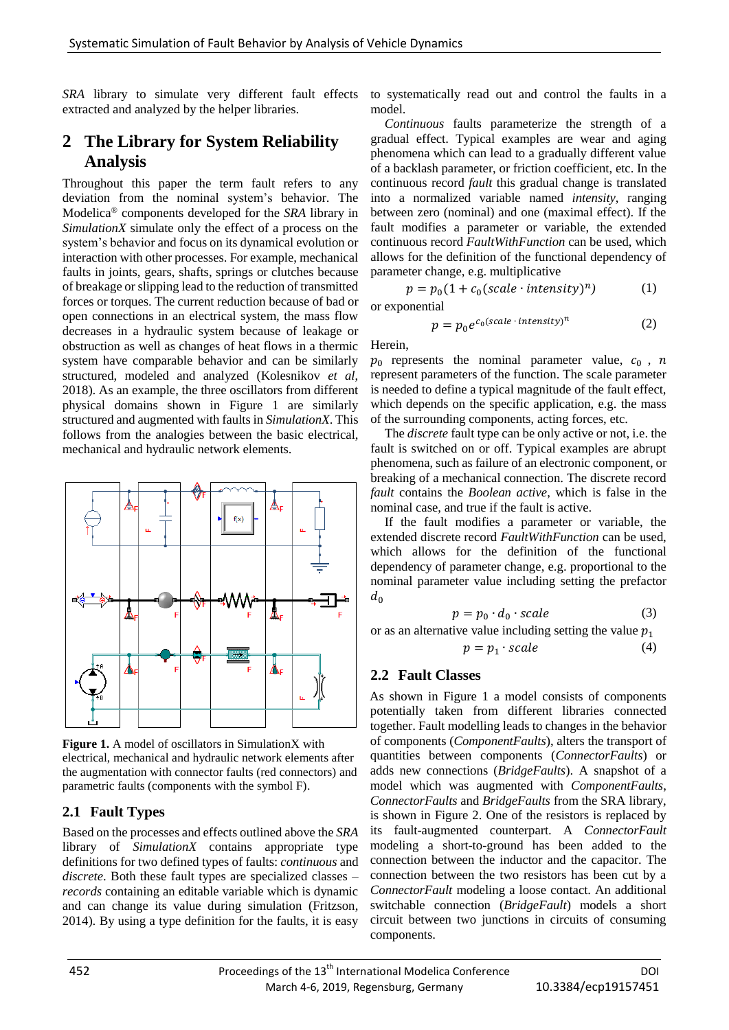*SRA* library to simulate very different fault effects extracted and analyzed by the helper libraries.

# **2 The Library for System Reliability Analysis**

Throughout this paper the term fault refers to any deviation from the nominal system's behavior. The Modelica® components developed for the *SRA* library in *SimulationX* simulate only the effect of a process on the system's behavior and focus on its dynamical evolution or interaction with other processes. For example, mechanical faults in joints, gears, shafts, springs or clutches because of breakage or slipping lead to the reduction of transmitted forces or torques. The current reduction because of bad or open connections in an electrical system, the mass flow decreases in a hydraulic system because of leakage or obstruction as well as changes of heat flows in a thermic system have comparable behavior and can be similarly structured, modeled and analyzed (Kolesnikov *et al*, 2018). As an example, the three oscillators from different physical domains shown in Figure 1 are similarly structured and augmented with faults in *SimulationX*. This follows from the analogies between the basic electrical, mechanical and hydraulic network elements.



**Figure 1.** A model of oscillators in SimulationX with electrical, mechanical and hydraulic network elements after the augmentation with connector faults (red connectors) and parametric faults (components with the symbol F).

## **2.1 Fault Types**

Based on the processes and effects outlined above the *SRA* library of *SimulationX* contains appropriate type definitions for two defined types of faults: *continuous* and *discrete*. Both these fault types are specialized classes – *records* containing an editable variable which is dynamic and can change its value during simulation (Fritzson, 2014). By using a type definition for the faults, it is easy

to systematically read out and control the faults in a model.

*Continuous* faults parameterize the strength of a gradual effect. Typical examples are wear and aging phenomena which can lead to a gradually different value of a backlash parameter, or friction coefficient, etc. In the continuous record *fault* this gradual change is translated into a normalized variable named *intensity*, ranging between zero (nominal) and one (maximal effect). If the fault modifies a parameter or variable, the extended continuous record *FaultWithFunction* can be used, which allows for the definition of the functional dependency of parameter change, e.g. multiplicative

$$
p = p_0(1 + c_0(scale \cdot intensity)^n)
$$
 (1)

or exponential

$$
p = p_0 e^{c_0 (scale \cdot intensity)^n}
$$
 (2)

Herein,

 $p_0$  represents the nominal parameter value,  $c_0$ , n represent parameters of the function. The scale parameter is needed to define a typical magnitude of the fault effect, which depends on the specific application, e.g. the mass of the surrounding components, acting forces, etc.

The *discrete* fault type can be only active or not, i.e. the fault is switched on or off. Typical examples are abrupt phenomena, such as failure of an electronic component, or breaking of a mechanical connection. The discrete record *fault* contains the *Boolean active*, which is false in the nominal case, and true if the fault is active.

If the fault modifies a parameter or variable, the extended discrete record *FaultWithFunction* can be used, which allows for the definition of the functional dependency of parameter change, e.g. proportional to the nominal parameter value including setting the prefactor  $d_0$ 

$$
p = p_0 \cdot d_0 \cdot scale \tag{3}
$$

or as an alternative value including setting the value  $p_1$ 

$$
p = p_1 \cdot scale \tag{4}
$$

#### **2.2 Fault Classes**

As shown in Figure 1 a model consists of components potentially taken from different libraries connected together. Fault modelling leads to changes in the behavior of components (*ComponentFaults*), alters the transport of quantities between components (*ConnectorFaults*) or adds new connections (*BridgeFaults*). A snapshot of a model which was augmented with *ComponentFaults*, *ConnectorFaults* and *BridgeFaults* from the SRA library, is shown in Figure 2. One of the resistors is replaced by its fault-augmented counterpart. A *ConnectorFault* modeling a short-to-ground has been added to the connection between the inductor and the capacitor. The connection between the two resistors has been cut by a *ConnectorFault* modeling a loose contact. An additional switchable connection (*BridgeFault*) models a short circuit between two junctions in circuits of consuming components.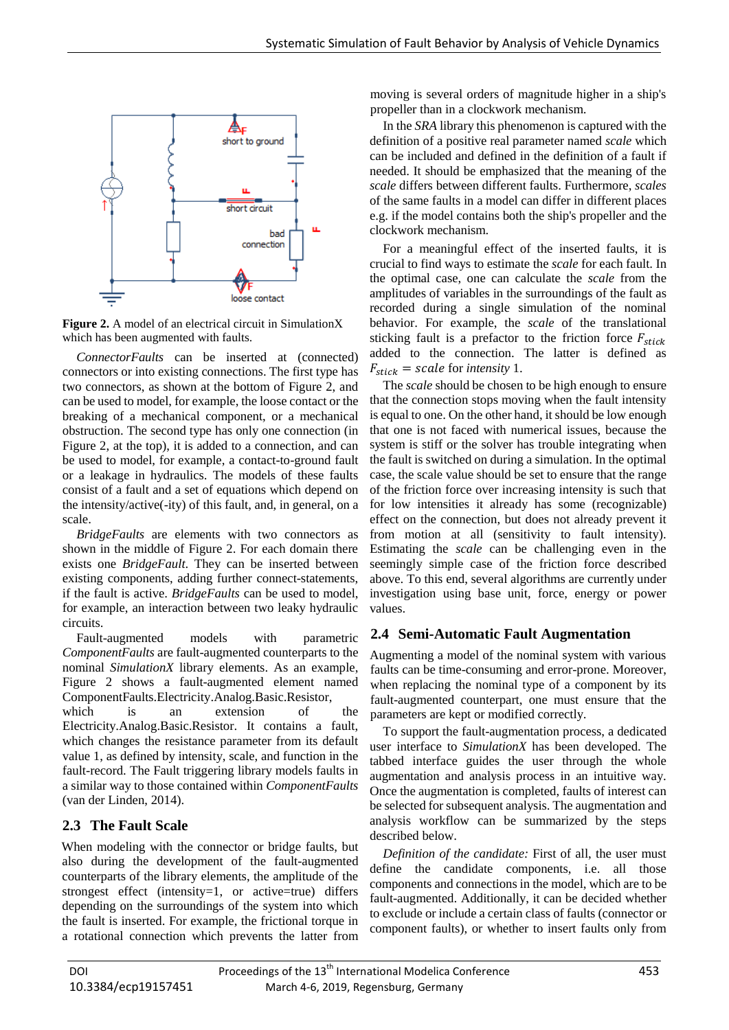

**Figure 2.** A model of an electrical circuit in SimulationX which has been augmented with faults.

*ConnectorFaults* can be inserted at (connected) connectors or into existing connections. The first type has two connectors, as shown at the bottom of Figure 2, and can be used to model, for example, the loose contact or the breaking of a mechanical component, or a mechanical obstruction. The second type has only one connection (in Figure 2, at the top), it is added to a connection, and can be used to model, for example, a contact-to-ground fault or a leakage in hydraulics. The models of these faults consist of a fault and a set of equations which depend on the intensity/active(-ity) of this fault, and, in general, on a scale.

*BridgeFaults* are elements with two connectors as shown in the middle of Figure 2. For each domain there exists one *BridgeFault*. They can be inserted between existing components, adding further connect-statements, if the fault is active. *BridgeFaults* can be used to model, for example, an interaction between two leaky hydraulic circuits.

Fault-augmented models with parametric *ComponentFaults* are fault-augmented counterparts to the nominal *SimulationX* library elements. As an example, Figure 2 shows a fault-augmented element named ComponentFaults.Electricity.Analog.Basic.Resistor,

which is an extension of the Electricity.Analog.Basic.Resistor. It contains a fault, which changes the resistance parameter from its default value 1, as defined by intensity, scale, and function in the fault-record. The Fault triggering library models faults in a similar way to those contained within *ComponentFaults* (van der Linden, 2014).

# **2.3 The Fault Scale**

When modeling with the connector or bridge faults, but also during the development of the fault-augmented counterparts of the library elements, the amplitude of the strongest effect (intensity=1, or active=true) differs depending on the surroundings of the system into which the fault is inserted. For example, the frictional torque in a rotational connection which prevents the latter from

moving is several orders of magnitude higher in a ship's propeller than in a clockwork mechanism.

In the *SRA* library this phenomenon is captured with the definition of a positive real parameter named *scale* which can be included and defined in the definition of a fault if needed. It should be emphasized that the meaning of the *scale* differs between different faults. Furthermore, *scales*  of the same faults in a model can differ in different places e.g. if the model contains both the ship's propeller and the clockwork mechanism.

For a meaningful effect of the inserted faults, it is crucial to find ways to estimate the *scale* for each fault. In the optimal case, one can calculate the *scale* from the amplitudes of variables in the surroundings of the fault as recorded during a single simulation of the nominal behavior. For example, the *scale* of the translational sticking fault is a prefactor to the friction force  $F_{stick}$ added to the connection. The latter is defined as  $F_{\text{stick}} = scale$  for *intensity* 1.

The *scale* should be chosen to be high enough to ensure that the connection stops moving when the fault intensity is equal to one. On the other hand, it should be low enough that one is not faced with numerical issues, because the system is stiff or the solver has trouble integrating when the fault is switched on during a simulation. In the optimal case, the scale value should be set to ensure that the range of the friction force over increasing intensity is such that for low intensities it already has some (recognizable) effect on the connection, but does not already prevent it from motion at all (sensitivity to fault intensity). Estimating the *scale* can be challenging even in the seemingly simple case of the friction force described above. To this end, several algorithms are currently under investigation using base unit, force, energy or power values.

## **2.4 Semi-Automatic Fault Augmentation**

Augmenting a model of the nominal system with various faults can be time-consuming and error-prone. Moreover, when replacing the nominal type of a component by its fault-augmented counterpart, one must ensure that the parameters are kept or modified correctly.

To support the fault-augmentation process, a dedicated user interface to *SimulationX* has been developed. The tabbed interface guides the user through the whole augmentation and analysis process in an intuitive way. Once the augmentation is completed, faults of interest can be selected for subsequent analysis. The augmentation and analysis workflow can be summarized by the steps described below.

*Definition of the candidate:* First of all, the user must define the candidate components, i.e. all those components and connections in the model, which are to be fault-augmented. Additionally, it can be decided whether to exclude or include a certain class of faults (connector or component faults), or whether to insert faults only from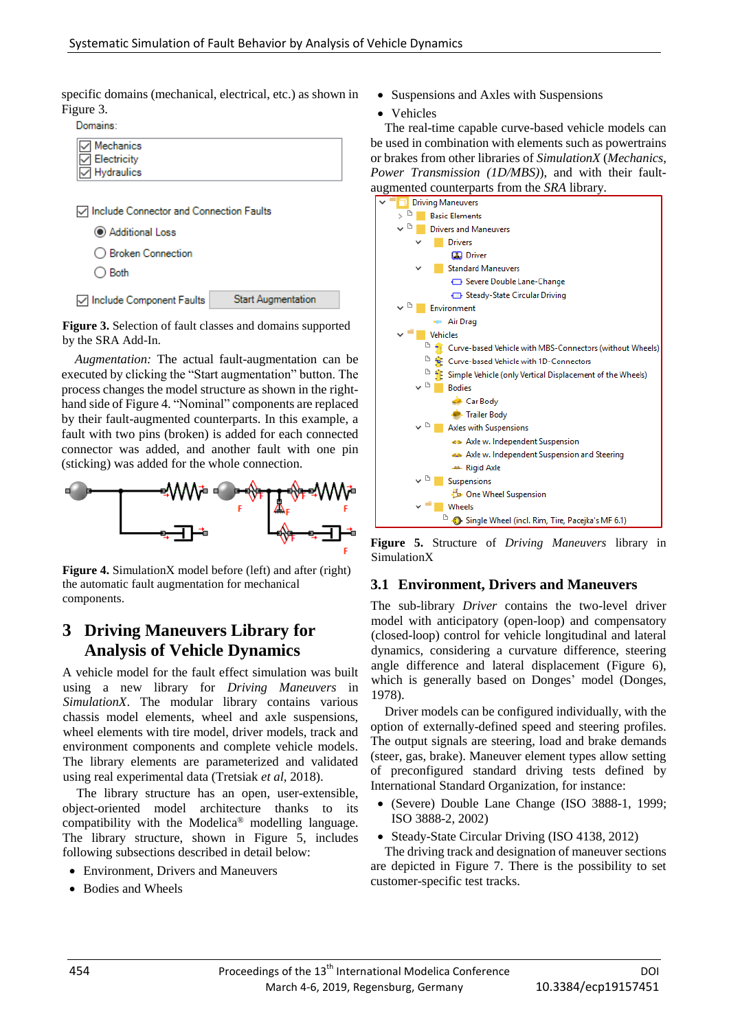specific domains (mechanical, electrical, etc.) as shown in Figure 3.

Domains:

| $\triangledown$ Mechanics<br>$\sqrt{\square}$ Electricity<br>$\overline{\nabla}$ Hydraulics |  |  |
|---------------------------------------------------------------------------------------------|--|--|
|                                                                                             |  |  |

| ◯ Include Connector and Connection Faults |                           |
|-------------------------------------------|---------------------------|
| Additional Loss                           |                           |
| ◯ Broken Connection                       |                           |
| $\bigcirc$ Both                           |                           |
| ◯ Include Component Faults                | <b>Start Augmentation</b> |

**Figure 3.** Selection of fault classes and domains supported by the SRA Add-In.

*Augmentation:* The actual fault-augmentation can be executed by clicking the "Start augmentation" button. The process changes the model structure as shown in the righthand side of Figure 4. "Nominal" components are replaced by their fault-augmented counterparts. In this example, a fault with two pins (broken) is added for each connected connector was added, and another fault with one pin (sticking) was added for the whole connection.



**Figure 4.** SimulationX model before (left) and after (right) the automatic fault augmentation for mechanical components.

# **3 Driving Maneuvers Library for Analysis of Vehicle Dynamics**

A vehicle model for the fault effect simulation was built using a new library for *Driving Maneuvers* in *SimulationX*. The modular library contains various chassis model elements, wheel and axle suspensions, wheel elements with tire model, driver models, track and environment components and complete vehicle models. The library elements are parameterized and validated using real experimental data (Tretsiak *et al,* 2018).

The library structure has an open, user-extensible, object-oriented model architecture thanks to its compatibility with the Modelica® modelling language. The library structure, shown in Figure 5, includes following subsections described in detail below:

- Environment, Drivers and Maneuvers
- Bodies and Wheels
- Suspensions and Axles with Suspensions
- Vehicles

The real-time capable curve-based vehicle models can be used in combination with elements such as powertrains or brakes from other libraries of *SimulationX* (*Mechanics*, *Power Transmission (1D/MBS)*), and with their faultaugmented counterparts from the *SRA* library.



**Figure 5.** Structure of *Driving Maneuvers* library in SimulationX

#### **3.1 Environment, Drivers and Maneuvers**

The sub-library *Driver* contains the two-level driver model with anticipatory (open-loop) and compensatory (closed-loop) control for vehicle longitudinal and lateral dynamics, considering a curvature difference, steering angle difference and lateral displacement (Figure 6), which is generally based on Donges' model (Donges, 1978).

Driver models can be configured individually, with the option of externally-defined speed and steering profiles. The output signals are steering, load and brake demands (steer, gas, brake). Maneuver element types allow setting of preconfigured standard driving tests defined by International Standard Organization, for instance:

- (Severe) Double Lane Change (ISO 3888-1, 1999; ISO 3888-2, 2002)
- Steady-State Circular Driving (ISO 4138, 2012) The driving track and designation of maneuver sections are depicted in Figure 7. There is the possibility to set

customer-specific test tracks.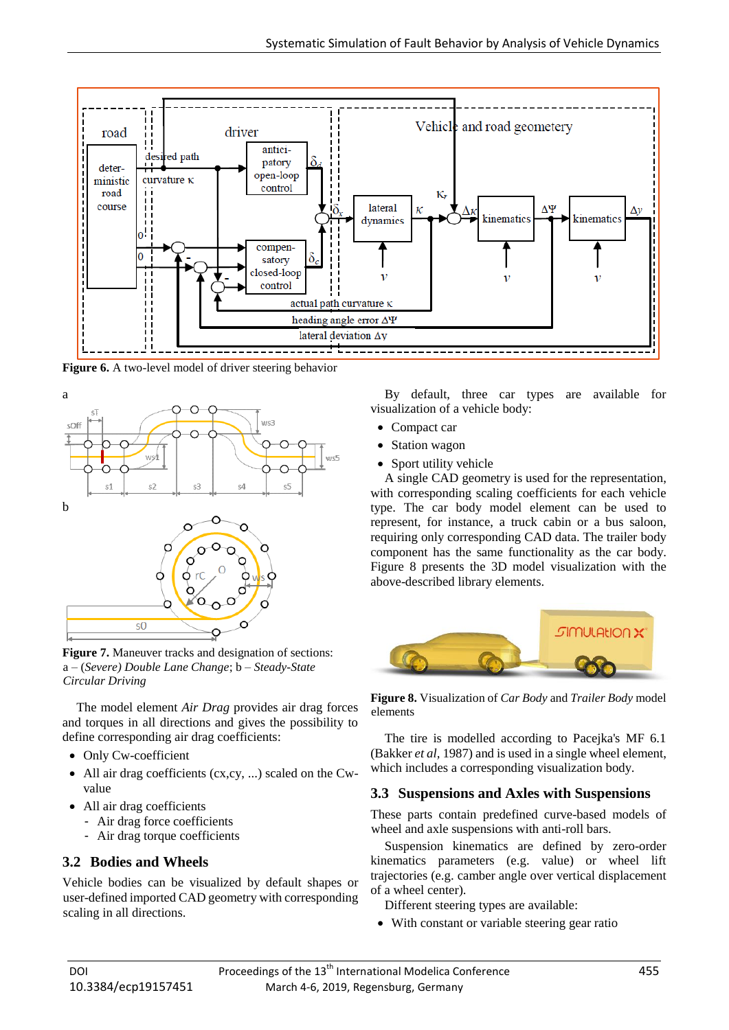

**Figure 6.** A two-level model of driver steering behavior



**Figure 7.** Maneuver tracks and designation of sections: a – (*Severe) Double Lane Change*; b – *Steady-State Circular Driving*

The model element *Air Drag* provides air drag forces and torques in all directions and gives the possibility to define corresponding air drag coefficients:

- Only Cw-coefficient
- All air drag coefficients (cx,cy, ...) scaled on the Cwvalue
- All air drag coefficients
	- Air drag force coefficients
	- Air drag torque coefficients

#### **3.2 Bodies and Wheels**

Vehicle bodies can be visualized by default shapes or user-defined imported CAD geometry with corresponding scaling in all directions.

By default, three car types are available for visualization of a vehicle body:

- Compact car
- Station wagon
- Sport utility vehicle

A single CAD geometry is used for the representation, with corresponding scaling coefficients for each vehicle type. The car body model element can be used to represent, for instance, a truck cabin or a bus saloon, requiring only corresponding CAD data. The trailer body component has the same functionality as the car body. Figure 8 presents the 3D model visualization with the above-described library elements.



**Figure 8.** Visualization of *Car Body* and *Trailer Body* model elements

The tire is modelled according to Pacejka's MF 6.1 (Bakker *et al,* 1987) and is used in a single wheel element, which includes a corresponding visualization body.

#### **3.3 Suspensions and Axles with Suspensions**

These parts contain predefined curve-based models of wheel and axle suspensions with anti-roll bars.

Suspension kinematics are defined by zero-order kinematics parameters (e.g. value) or wheel lift trajectories (e.g. camber angle over vertical displacement of a wheel center).

Different steering types are available:

• With constant or variable steering gear ratio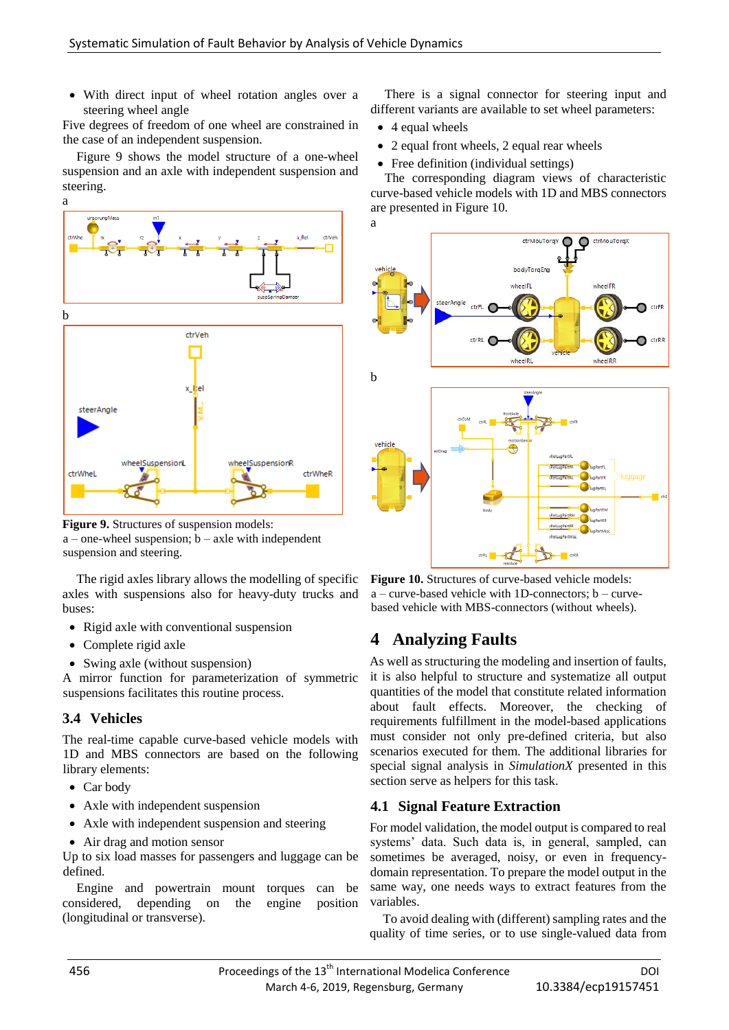• With direct input of wheel rotation angles over a steering wheel angle

Five degrees of freedom of one wheel are constrained in the case of an independent suspension.

Figure 9 shows the model structure of a one-wheel suspension and an axle with independent suspension and steering.



**Figure 9.** Structures of suspension models:  $a$  – one-wheel suspension;  $b$  – axle with independent suspension and steering.

The rigid axles library allows the modelling of specific axles with suspensions also for heavy-duty trucks and buses:

- Rigid axle with conventional suspension
- Complete rigid axle
- Swing axle (without suspension)

A mirror function for parameterization of symmetric suspensions facilitates this routine process.

## **3.4 Vehicles**

The real-time capable curve-based vehicle models with 1D and MBS connectors are based on the following library elements:

- Car body
- Axle with independent suspension
- Axle with independent suspension and steering
- Air drag and motion sensor

Up to six load masses for passengers and luggage can be defined.

Engine and powertrain mount torques can be considered, depending on the engine position (longitudinal or transverse).

There is a signal connector for steering input and different variants are available to set wheel parameters:

- 4 equal wheels
- 2 equal front wheels, 2 equal rear wheels
- Free definition (individual settings)

The corresponding diagram views of characteristic curve-based vehicle models with 1D and MBS connectors are presented in Figure 10.



**Figure 10.** Structures of curve-based vehicle models:  $a$  – curve-based vehicle with 1D-connectors;  $b$  – curvebased vehicle with MBS-connectors (without wheels).

# **4 Analyzing Faults**

As well as structuring the modeling and insertion of faults, it is also helpful to structure and systematize all output quantities of the model that constitute related information about fault effects. Moreover, the checking of requirements fulfillment in the model-based applications must consider not only pre-defined criteria, but also scenarios executed for them. The additional libraries for special signal analysis in *SimulationX* presented in this section serve as helpers for this task.

#### **4.1 Signal Feature Extraction**

For model validation, the model output is compared to real systems' data. Such data is, in general, sampled, can sometimes be averaged, noisy, or even in frequencydomain representation. To prepare the model output in the same way, one needs ways to extract features from the variables.

To avoid dealing with (different) sampling rates and the quality of time series, or to use single-valued data from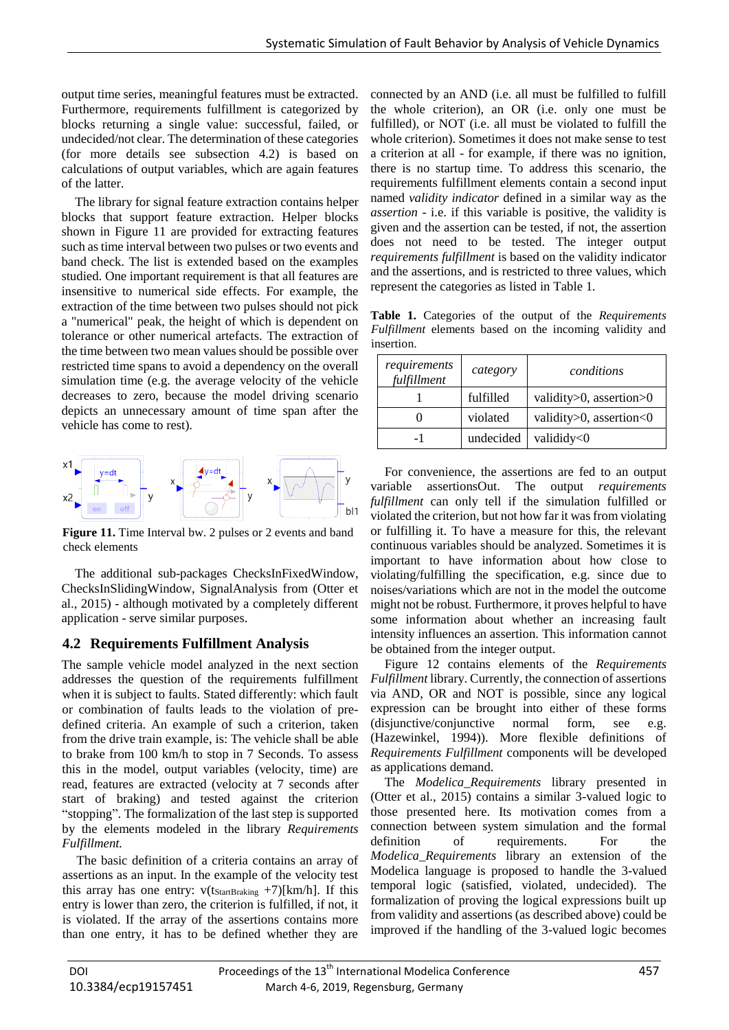output time series, meaningful features must be extracted. Furthermore, requirements fulfillment is categorized by blocks returning a single value: successful, failed, or undecided/not clear. The determination of these categories (for more details see subsection 4.2) is based on calculations of output variables, which are again features of the latter.

The library for signal feature extraction contains helper blocks that support feature extraction. Helper blocks shown in Figure 11 are provided for extracting features such as time interval between two pulses or two events and band check. The list is extended based on the examples studied. One important requirement is that all features are insensitive to numerical side effects. For example, the extraction of the time between two pulses should not pick a "numerical" peak, the height of which is dependent on tolerance or other numerical artefacts. The extraction of the time between two mean values should be possible over restricted time spans to avoid a dependency on the overall simulation time (e.g. the average velocity of the vehicle decreases to zero, because the model driving scenario depicts an unnecessary amount of time span after the vehicle has come to rest).



**Figure 11.** Time Interval bw. 2 pulses or 2 events and band check elements

The additional sub-packages ChecksInFixedWindow, ChecksInSlidingWindow, SignalAnalysis from (Otter et al., 2015) - although motivated by a completely different application - serve similar purposes.

#### **4.2 Requirements Fulfillment Analysis**

The sample vehicle model analyzed in the next section addresses the question of the requirements fulfillment when it is subject to faults. Stated differently: which fault or combination of faults leads to the violation of predefined criteria. An example of such a criterion, taken from the drive train example, is: The vehicle shall be able to brake from 100 km/h to stop in 7 Seconds. To assess this in the model, output variables (velocity, time) are read, features are extracted (velocity at 7 seconds after start of braking) and tested against the criterion "stopping". The formalization of the last step is supported by the elements modeled in the library *Requirements Fulfillment.*

The basic definition of a criteria contains an array of assertions as an input. In the example of the velocity test this array has one entry:  $v(t_{StartBraking} + 7)[km/h]$ . If this entry is lower than zero, the criterion is fulfilled, if not, it is violated. If the array of the assertions contains more than one entry, it has to be defined whether they are

connected by an AND (i.e. all must be fulfilled to fulfill the whole criterion), an OR (i.e. only one must be fulfilled), or NOT (i.e. all must be violated to fulfill the whole criterion). Sometimes it does not make sense to test a criterion at all - for example, if there was no ignition, there is no startup time. To address this scenario, the requirements fulfillment elements contain a second input named *validity indicator* defined in a similar way as the *assertion* - i.e. if this variable is positive, the validity is given and the assertion can be tested, if not, the assertion does not need to be tested. The integer output *requirements fulfillment* is based on the validity indicator and the assertions, and is restricted to three values, which represent the categories as listed in Table 1.

**Table 1.** Categories of the output of the *Requirements Fulfillment* elements based on the incoming validity and insertion.

| requirements<br>fulfillment | category  | conditions              |
|-----------------------------|-----------|-------------------------|
|                             | fulfilled | validity>0, assertion>0 |
|                             | violated  | validity>0, assertion<0 |
| - 1                         | undecided | valididy<0              |

For convenience, the assertions are fed to an output variable assertionsOut. The output *requirements fulfillment* can only tell if the simulation fulfilled or violated the criterion, but not how far it was from violating or fulfilling it. To have a measure for this, the relevant continuous variables should be analyzed. Sometimes it is important to have information about how close to violating/fulfilling the specification, e.g. since due to noises/variations which are not in the model the outcome might not be robust. Furthermore, it proves helpful to have some information about whether an increasing fault intensity influences an assertion. This information cannot be obtained from the integer output.

Figure 12 contains elements of the *Requirements Fulfillment* library. Currently, the connection of assertions via AND, OR and NOT is possible, since any logical expression can be brought into either of these forms (disjunctive/conjunctive normal form, see e.g. (Hazewinkel, 1994)). More flexible definitions of *Requirements Fulfillment* components will be developed as applications demand.

The *Modelica\_Requirements* library presented in (Otter et al., 2015) contains a similar 3-valued logic to those presented here. Its motivation comes from a connection between system simulation and the formal definition of requirements. For the *Modelica\_Requirements* library an extension of the Modelica language is proposed to handle the 3-valued temporal logic (satisfied, violated, undecided). The formalization of proving the logical expressions built up from validity and assertions (as described above) could be improved if the handling of the 3-valued logic becomes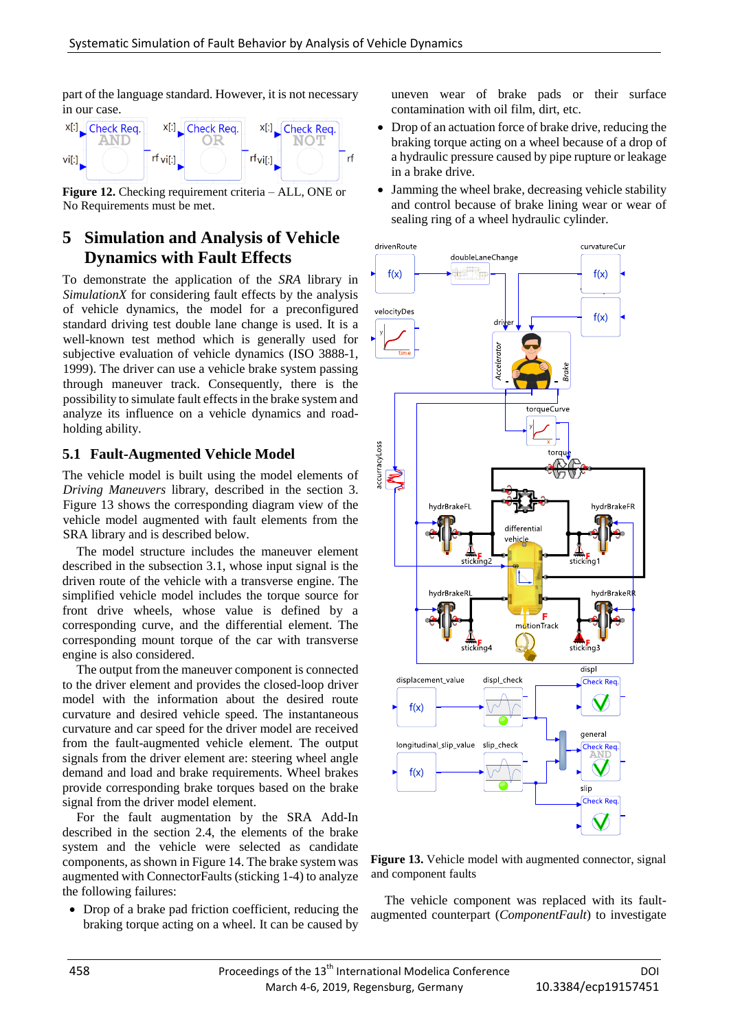part of the language standard. However, it is not necessary in our case.



**Figure 12.** Checking requirement criteria – ALL, ONE or No Requirements must be met.

# **5 Simulation and Analysis of Vehicle Dynamics with Fault Effects**

To demonstrate the application of the *SRA* library in *SimulationX* for considering fault effects by the analysis of vehicle dynamics, the model for a preconfigured standard driving test double lane change is used. It is a well-known test method which is generally used for subjective evaluation of vehicle dynamics (ISO 3888-1, 1999). The driver can use a vehicle brake system passing through maneuver track. Consequently, there is the possibility to simulate fault effects in the brake system and analyze its influence on a vehicle dynamics and roadholding ability.

#### **5.1 Fault-Augmented Vehicle Model**

The vehicle model is built using the model elements of *Driving Maneuvers* library, described in the section 3. Figure 13 shows the corresponding diagram view of the vehicle model augmented with fault elements from the SRA library and is described below.

The model structure includes the maneuver element described in the subsection 3.1, whose input signal is the driven route of the vehicle with a transverse engine. The simplified vehicle model includes the torque source for front drive wheels, whose value is defined by a corresponding curve, and the differential element. The corresponding mount torque of the car with transverse engine is also considered.

The output from the maneuver component is connected to the driver element and provides the closed-loop driver model with the information about the desired route curvature and desired vehicle speed. The instantaneous curvature and car speed for the driver model are received from the fault-augmented vehicle element. The output signals from the driver element are: steering wheel angle demand and load and brake requirements. Wheel brakes provide corresponding brake torques based on the brake signal from the driver model element.

For the fault augmentation by the SRA Add-In described in the section 2.4, the elements of the brake system and the vehicle were selected as candidate components, as shown in Figure 14. The brake system was augmented with ConnectorFaults (sticking 1-4) to analyze the following failures:

• Drop of a brake pad friction coefficient, reducing the braking torque acting on a wheel. It can be caused by

uneven wear of brake pads or their surface contamination with oil film, dirt, etc.

- Drop of an actuation force of brake drive, reducing the braking torque acting on a wheel because of a drop of a hydraulic pressure caused by pipe rupture or leakage in a brake drive.
- Jamming the wheel brake, decreasing vehicle stability and control because of brake lining wear or wear of sealing ring of a wheel hydraulic cylinder.



**Figure 13.** Vehicle model with augmented connector, signal and component faults

The vehicle component was replaced with its faultaugmented counterpart (*ComponentFault*) to investigate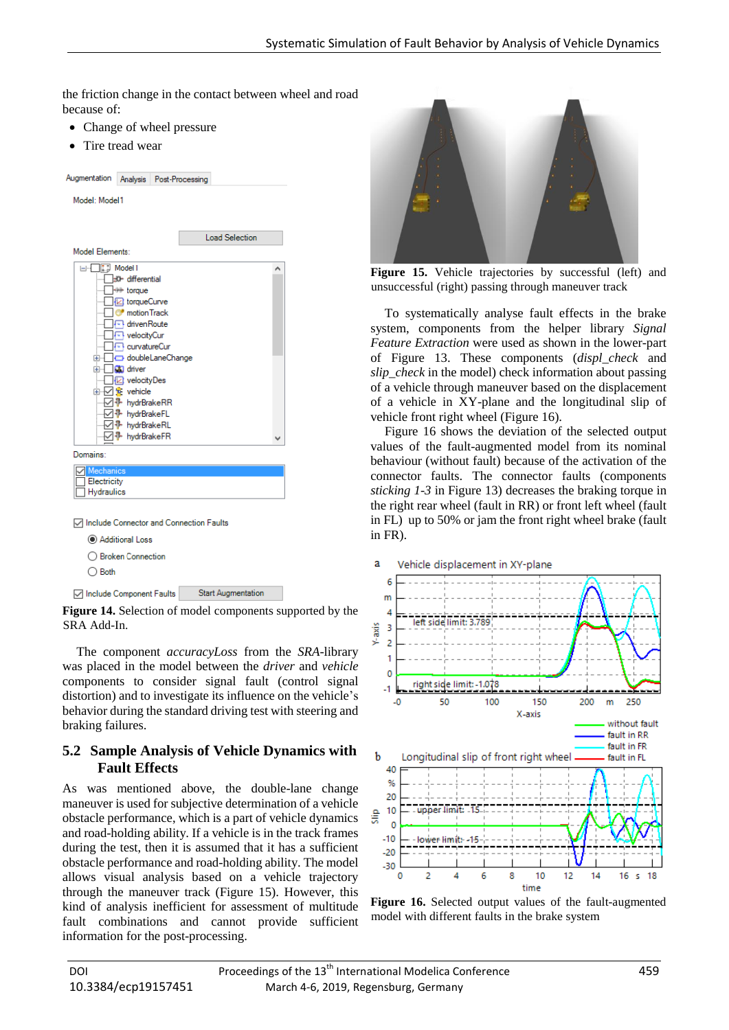the friction change in the contact between wheel and road because of:

- Change of wheel pressure
- Tire tread wear

| Augmentation Analysis Post-Processing                       |                                                                                                                                                                                                                                                                                                                                                        |  |                           |  |
|-------------------------------------------------------------|--------------------------------------------------------------------------------------------------------------------------------------------------------------------------------------------------------------------------------------------------------------------------------------------------------------------------------------------------------|--|---------------------------|--|
| Model: Model1                                               |                                                                                                                                                                                                                                                                                                                                                        |  |                           |  |
|                                                             |                                                                                                                                                                                                                                                                                                                                                        |  |                           |  |
|                                                             |                                                                                                                                                                                                                                                                                                                                                        |  | <b>Load Selection</b>     |  |
| Model Flements:                                             |                                                                                                                                                                                                                                                                                                                                                        |  |                           |  |
| ⊟…<br>$+ \cdot$                                             | $\left  \cdot \right $ Model 1<br>30- differential<br><b>图 torqueCurve</b><br>motion Track<br>⊶ driven Route<br>√ velocityCur<br><b>REL curvatureCur</b><br>doubleLaneChange<br><b>E</b> - <b>CD</b> driver<br><b>El</b> velocityDes<br>由 ▽ fe vehicle<br>- Mr hydrBrakeRR<br>⊹⊹√√ ⊪ hydrBrakeFL<br>— जि - HydrBrakeRL<br>- Ø <sup>1</sup> hydrBrakeFR |  |                           |  |
| Domains:                                                    |                                                                                                                                                                                                                                                                                                                                                        |  |                           |  |
| <b>Mechanics</b><br>Electricity<br>Hydraulics               |                                                                                                                                                                                                                                                                                                                                                        |  |                           |  |
| □ Include Connector and Connection Faults<br>$\bigcap$ Both | Additional Loss<br>◯ Broken Connection                                                                                                                                                                                                                                                                                                                 |  |                           |  |
| <b>□</b> Include Component Faults                           |                                                                                                                                                                                                                                                                                                                                                        |  | <b>Start Augmentation</b> |  |

**Figure 14.** Selection of model components supported by the SRA Add-In.

The component *accuracyLoss* from the *SRA*-library was placed in the model between the *driver* and *vehicle* components to consider signal fault (control signal distortion) and to investigate its influence on the vehicle's behavior during the standard driving test with steering and braking failures.

#### **5.2 Sample Analysis of Vehicle Dynamics with Fault Effects**

As was mentioned above, the double-lane change maneuver is used for subjective determination of a vehicle obstacle performance, which is a part of vehicle dynamics and road-holding ability. If a vehicle is in the track frames during the test, then it is assumed that it has a sufficient obstacle performance and road-holding ability. The model allows visual analysis based on a vehicle trajectory through the maneuver track (Figure 15). However, this kind of analysis inefficient for assessment of multitude fault combinations and cannot provide sufficient information for the post-processing.



**Figure 15.** Vehicle trajectories by successful (left) and unsuccessful (right) passing through maneuver track

To systematically analyse fault effects in the brake system, components from the helper library *Signal Feature Extraction* were used as shown in the lower-part of Figure 13. These components (*displ\_check* and *slip\_check* in the model) check information about passing of a vehicle through maneuver based on the displacement of a vehicle in XY-plane and the longitudinal slip of vehicle front right wheel (Figure 16).

Figure 16 shows the deviation of the selected output values of the fault-augmented model from its nominal behaviour (without fault) because of the activation of the connector faults. The connector faults (components *sticking 1-3* in Figure 13) decreases the braking torque in the right rear wheel (fault in RR) or front left wheel (fault in FL) up to 50% or jam the front right wheel brake (fault in FR).



**Figure 16.** Selected output values of the fault-augmented model with different faults in the brake system